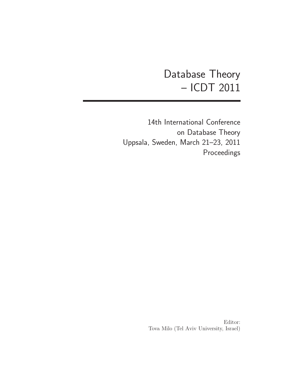# Database Theory – ICDT 2011

14th International Conference on Database Theory Uppsala, Sweden, March 21–23, 2011 Proceedings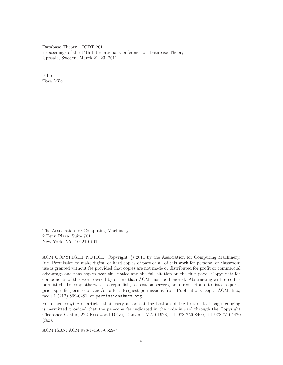Database Theory – ICDT 2011 Proceedings of the 14th International Conference on Database Theory Uppsala, Sweden, March 21–23, 2011

Editor: Tova Milo

The Association for Computing Machinery 2 Penn Plaza, Suite 701 New York, NY, 10121-0701

ACM COPYRIGHT NOTICE. Copyright  $\odot$  2011 by the Association for Computing Machinery, Inc. Permission to make digital or hard copies of part or all of this work for personal or classroom use is granted without fee provided that copies are not made or distributed for profit or commercial advantage and that copies bear this notice and the full citation on the first page. Copyrights for components of this work owned by others than ACM must be honored. Abstracting with credit is permitted. To copy otherwise, to republish, to post on servers, or to redistribute to lists, requires prior specific permission and/or a fee. Request permissions from Publications Dept., ACM, Inc., fax  $+1$  (212) 869-0481, or permissions@acm.org.

For other copying of articles that carry a code at the bottom of the first or last page, copying is permitted provided that the per-copy fee indicated in the code is paid through the Copyright Clearance Center, 222 Rosewood Drive, Danvers, MA 01923, +1-978-750-8400, +1-978-750-4470 (fax).

ACM ISBN: ACM 978-1-4503-0529-7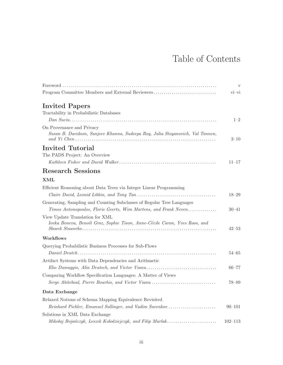## Table of Contents

|                                                                                                             | V           |
|-------------------------------------------------------------------------------------------------------------|-------------|
| Program Committee Members and External Reviewers                                                            | $vi$ - $vi$ |
| <b>Invited Papers</b>                                                                                       |             |
| Tractability in Probabilistic Databases                                                                     |             |
|                                                                                                             | $1 - 2$     |
| On Provenance and Privacy<br>Susan B. Davidson, Sanjeev Khanna, Sudeepa Roy, Julia Stoyanovich, Val Tannen, | $3 - 10$    |
| Invited Tutorial                                                                                            |             |
| The PADS Project: An Overview                                                                               |             |
|                                                                                                             | $11 - 17$   |
| <b>Research Sessions</b>                                                                                    |             |
| XML                                                                                                         |             |
| Efficient Reasoning about Data Trees via Integer Linear Programming                                         |             |
|                                                                                                             | $18 - 29$   |
| Generating, Sampling and Counting Subclasses of Regular Tree Languages                                      |             |
| Timos Antonopoulos, Floris Geerts, Wim Martens, and Frank Neven                                             | $30 - 41$   |
| View Update Translation for XML                                                                             |             |
| Iovka Boneva, Benoît Groz, Sophie Tison, Anne-Cécile Caron, Yves Roos, and                                  | 42–53       |
| Workflows                                                                                                   |             |
| Querying Probabilistic Business Processes for Sub-Flows                                                     |             |
|                                                                                                             | $54 - 65$   |
| Artifact Systems with Data Dependencies and Arithmetic                                                      |             |
| Elio Damaggio, Alin Deutsch, and Victor Vianu                                                               | $66 - 77$   |
| Comparing Workflow Specification Languages: A Matter of Views                                               |             |
| Serge Abiteboul, Pierre Bourhis, and Victor Vianu                                                           | $78 - 89$   |
| Data Exchange                                                                                               |             |
| Relaxed Notions of Schema Mapping Equivalence Revisited                                                     |             |
| Reinhard Pichler, Emanuel Sallinger, and Vadim Savenkov                                                     | $90 - 101$  |
| Solutions in XML Data Exchange                                                                              |             |
| Mikołaj Bojańczyk, Leszek Kołodziejczyk, and Filip Murlak                                                   | $102 - 113$ |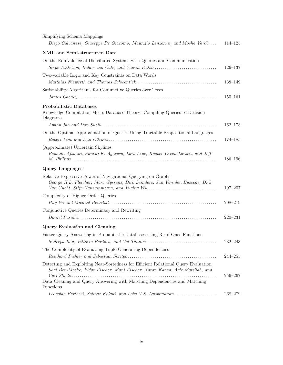| Simplifying Schema Mappings                                                                                                                                        |             |
|--------------------------------------------------------------------------------------------------------------------------------------------------------------------|-------------|
| Diego Calvanese, Giuseppe De Giacomo, Maurizio Lenzerini, and Moshe Vardi                                                                                          | $114 - 125$ |
| XML and Semi-structured Data                                                                                                                                       |             |
| On the Equivalence of Distributed Systems with Queries and Communication                                                                                           |             |
| Serge Abiteboul, Balder ten Cate, and Yannis Katsis                                                                                                                | $126 - 137$ |
| Two-variable Logic and Key Constraints on Data Words                                                                                                               |             |
|                                                                                                                                                                    | 138-149     |
| Satisfiability Algorithms for Conjunctive Queries over Trees                                                                                                       |             |
|                                                                                                                                                                    | $150 - 161$ |
| <b>Probabilistic Databases</b>                                                                                                                                     |             |
| Knowledge Compilation Meets Database Theory: Compiling Queries to Decision<br>Diagrams                                                                             |             |
|                                                                                                                                                                    | $162 - 173$ |
| On the Optimal Approximation of Queries Using Tractable Propositional Languages                                                                                    |             |
|                                                                                                                                                                    | $174 - 185$ |
| (Approximate) Uncertain Skylines                                                                                                                                   |             |
| Peyman Afshani, Pankaj K. Agarwal, Lars Arge, Kasper Green Larsen, and Jeff                                                                                        | $186 - 196$ |
|                                                                                                                                                                    |             |
| <b>Query Languages</b>                                                                                                                                             |             |
| Relative Expressive Power of Navigational Querying on Graphs<br>George H.L. Fletcher, Marc Gyssens, Dirk Leinders, Jan Van den Bussche, Dirk                       | $197 - 207$ |
| Complexity of Higher-Order Queries                                                                                                                                 |             |
|                                                                                                                                                                    | $208 - 219$ |
| Conjunctive Queries Determinacy and Rewriting                                                                                                                      |             |
|                                                                                                                                                                    | $220 - 231$ |
| <b>Query Evaluation and Cleaning</b>                                                                                                                               |             |
| Faster Query Answering in Probabilistic Databases using Read-Once Functions                                                                                        |             |
|                                                                                                                                                                    | $232 - 243$ |
| The Complexity of Evaluating Tuple Generating Dependencies                                                                                                         |             |
|                                                                                                                                                                    | $244 - 255$ |
| Detecting and Exploiting Near-Sortedness for Efficient Relational Query Evaluation<br>Sagi Ben-Moshe, Eldar Fischer, Mani Fischer, Yaron Kanza, Arie Matsliah, and |             |
| Data Cleaning and Query Answering with Matching Dependencies and Matching                                                                                          | $256 - 267$ |
| Functions                                                                                                                                                          |             |
| Leopoldo Bertossi, Solmaz Kolahi, and Laks V.S. Lakshmanan                                                                                                         | $268 - 279$ |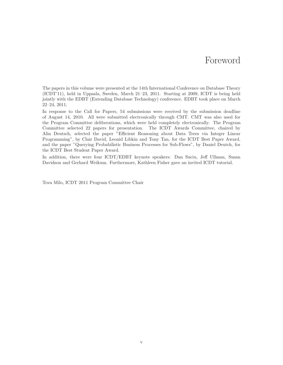### Foreword

The papers in this volume were presented at the 14th International Conference on Database Theory (ICDT'11), held in Uppsala, Sweden, March 21–23, 2011. Starting at 2009, ICDT is being held jointly with the EDBT (Extending Database Technology) conference. EDBT took place on March 22–24, 2011.

In response to the Call for Papers, 54 submissions were received by the submission deadline of August 14, 2010. All were submitted electronically through CMT. CMT was also used for the Program Committee deliberations, which were held completely electronically. The Program Committee selected 22 papers for presentation. The ICDT Awards Committee, chaired by Alin Deutsch, selected the paper "Efficient Reasoning about Data Trees via Integer Linear Programming", by Clair David, Leonid Libkin and Tony Tan, for the ICDT Best Paper Award, and the paper "Querying Probabilistic Business Processes for Sub-Flows", by Daniel Deutch, for the ICDT Best Student Paper Award.

In addition, there were four ICDT/EDBT keynote speakers: Dan Suciu, Jeff Ullman, Susan Davidson and Gerhard Weikum. Furthermore, Kathleen Fisher gave an invited ICDT tutorial.

Tova Milo, ICDT 2011 Program Committee Chair